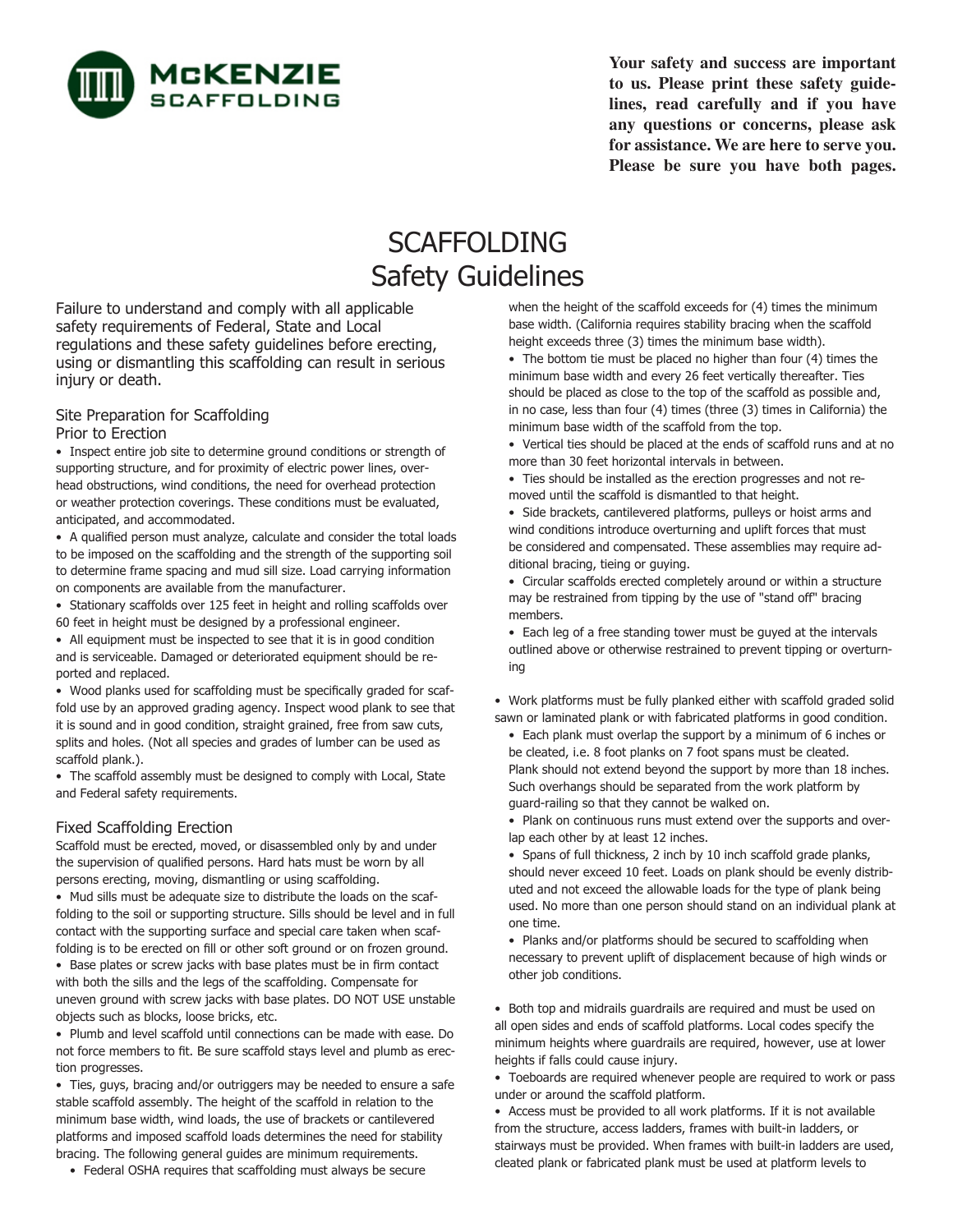

**Your safety and success are important to us. Please print these safety guidelines, read carefully and if you have any questions or concerns, please ask**  for assistance. We are here to serve you. **Please be sure you have both pages.**

# SCAFFOLDING Safety Guidelines

Failure to understand and comply with all applicable safety requirements of Federal, State and Local regulations and these safety guidelines before erecting, using or dismantling this scaffolding can result in serious injury or death.

#### Site Preparation for Scaffolding Prior to Erection

• Inspect entire job site to determine ground conditions or strength of supporting structure, and for proximity of electric power lines, overhead obstructions, wind conditions, the need for overhead protection or weather protection coverings. These conditions must be evaluated, anticipated, and accommodated.

• A qualified person must analyze, calculate and consider the total loads to be imposed on the scaffolding and the strength of the supporting soil to determine frame spacing and mud sill size. Load carrying information on components are available from the manufacturer.

• Stationary scaffolds over 125 feet in height and rolling scaffolds over 60 feet in height must be designed by a professional engineer.

• All equipment must be inspected to see that it is in good condition and is serviceable. Damaged or deteriorated equipment should be reported and replaced.

• Wood planks used for scaffolding must be specifically graded for scaffold use by an approved grading agency. Inspect wood plank to see that it is sound and in good condition, straight grained, free from saw cuts, splits and holes. (Not all species and grades of lumber can be used as scaffold plank.).

• The scaffold assembly must be designed to comply with Local, State and Federal safety requirements.

#### Fixed Scaffolding Erection

Scaffold must be erected, moved, or disassembled only by and under the supervision of qualified persons. Hard hats must be worn by all persons erecting, moving, dismantling or using scaffolding.

• Mud sills must be adequate size to distribute the loads on the scaffolding to the soil or supporting structure. Sills should be level and in full contact with the supporting surface and special care taken when scaffolding is to be erected on fill or other soft ground or on frozen ground.

• Base plates or screw jacks with base plates must be in firm contact with both the sills and the legs of the scaffolding. Compensate for uneven ground with screw jacks with base plates. DO NOT USE unstable objects such as blocks, loose bricks, etc.

• Plumb and level scaffold until connections can be made with ease. Do not force members to fit. Be sure scaffold stays level and plumb as erection progresses.

• Ties, guys, bracing and/or outriggers may be needed to ensure a safe stable scaffold assembly. The height of the scaffold in relation to the minimum base width, wind loads, the use of brackets or cantilevered platforms and imposed scaffold loads determines the need for stability bracing. The following general guides are minimum requirements.

• Federal OSHA requires that scaffolding must always be secure

when the height of the scaffold exceeds for (4) times the minimum base width. (California requires stability bracing when the scaffold height exceeds three (3) times the minimum base width).

• The bottom tie must be placed no higher than four (4) times the minimum base width and every 26 feet vertically thereafter. Ties should be placed as close to the top of the scaffold as possible and, in no case, less than four (4) times (three (3) times in California) the minimum base width of the scaffold from the top.

• Vertical ties should be placed at the ends of scaffold runs and at no more than 30 feet horizontal intervals in between.

• Ties should be installed as the erection progresses and not removed until the scaffold is dismantled to that height.

• Side brackets, cantilevered platforms, pulleys or hoist arms and wind conditions introduce overturning and uplift forces that must be considered and compensated. These assemblies may require additional bracing, tieing or guying.

• Circular scaffolds erected completely around or within a structure may be restrained from tipping by the use of "stand off" bracing members.

• Each leg of a free standing tower must be guyed at the intervals outlined above or otherwise restrained to prevent tipping or overturning

• Work platforms must be fully planked either with scaffold graded solid sawn or laminated plank or with fabricated platforms in good condition.

• Each plank must overlap the support by a minimum of 6 inches or be cleated, i.e. 8 foot planks on 7 foot spans must be cleated. Plank should not extend beyond the support by more than 18 inches. Such overhangs should be separated from the work platform by guard-railing so that they cannot be walked on.

• Plank on continuous runs must extend over the supports and overlap each other by at least 12 inches.

• Spans of full thickness, 2 inch by 10 inch scaffold grade planks, should never exceed 10 feet. Loads on plank should be evenly distributed and not exceed the allowable loads for the type of plank being used. No more than one person should stand on an individual plank at one time.

• Planks and/or platforms should be secured to scaffolding when necessary to prevent uplift of displacement because of high winds or other job conditions.

• Both top and midrails guardrails are required and must be used on all open sides and ends of scaffold platforms. Local codes specify the minimum heights where guardrails are required, however, use at lower heights if falls could cause injury.

• Toeboards are required whenever people are required to work or pass under or around the scaffold platform.

• Access must be provided to all work platforms. If it is not available from the structure, access ladders, frames with built-in ladders, or stairways must be provided. When frames with built-in ladders are used, cleated plank or fabricated plank must be used at platform levels to